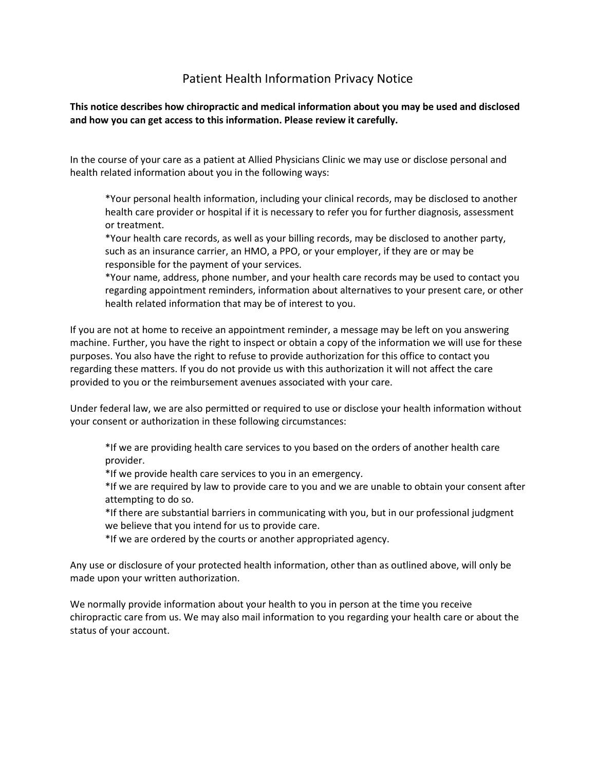## Patient Health Information Privacy Notice

**This notice describes how chiropractic and medical information about you may be used and disclosed and how you can get access to this information. Please review it carefully.**

In the course of your care as a patient at Allied Physicians Clinic we may use or disclose personal and health related information about you in the following ways:

\*Your personal health information, including your clinical records, may be disclosed to another health care provider or hospital if it is necessary to refer you for further diagnosis, assessment or treatment.

\*Your health care records, as well as your billing records, may be disclosed to another party, such as an insurance carrier, an HMO, a PPO, or your employer, if they are or may be responsible for the payment of your services.

\*Your name, address, phone number, and your health care records may be used to contact you regarding appointment reminders, information about alternatives to your present care, or other health related information that may be of interest to you.

If you are not at home to receive an appointment reminder, a message may be left on you answering machine. Further, you have the right to inspect or obtain a copy of the information we will use for these purposes. You also have the right to refuse to provide authorization for this office to contact you regarding these matters. If you do not provide us with this authorization it will not affect the care provided to you or the reimbursement avenues associated with your care.

Under federal law, we are also permitted or required to use or disclose your health information without your consent or authorization in these following circumstances:

\*If we are providing health care services to you based on the orders of another health care provider.

\*If we provide health care services to you in an emergency.

\*If we are required by law to provide care to you and we are unable to obtain your consent after attempting to do so.

\*If there are substantial barriers in communicating with you, but in our professional judgment we believe that you intend for us to provide care.

\*If we are ordered by the courts or another appropriated agency.

Any use or disclosure of your protected health information, other than as outlined above, will only be made upon your written authorization.

We normally provide information about your health to you in person at the time you receive chiropractic care from us. We may also mail information to you regarding your health care or about the status of your account.